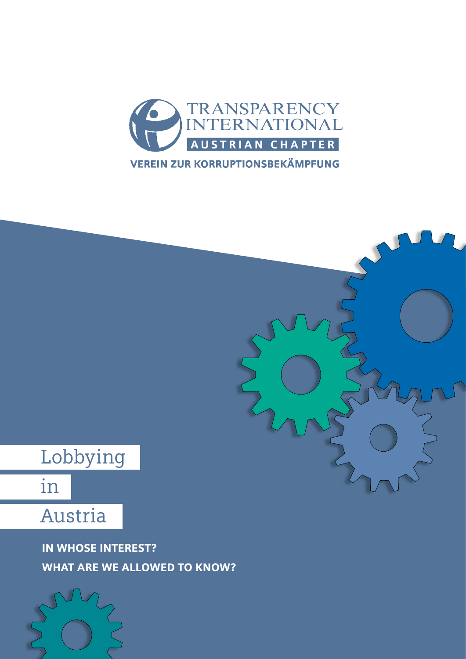



In whose interest? WHAT ARE WE ALLOWED TO KNOW?

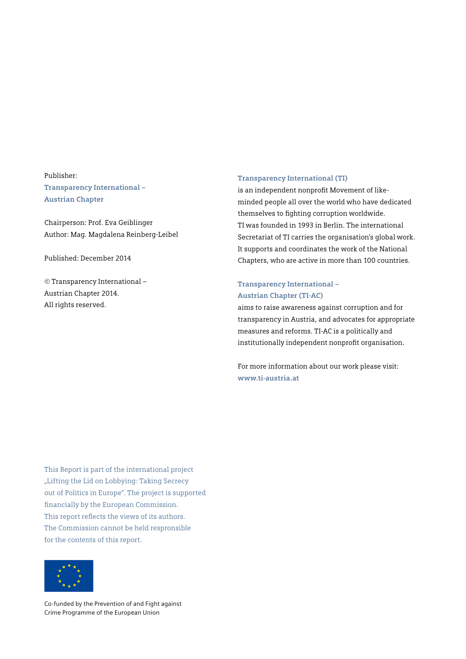Publisher: **Transparency International – Austrian Chapter**

Chairperson: Prof. Eva Geiblinger Author: Mag. Magdalena Reinberg-Leibel

Published: December 2014

© Transparency International – Austrian Chapter 2014. All rights reserved.

#### **Transparency International (TI)**

is an independent nonprofit Movement of likeminded people all over the world who have dedicated themselves to fighting corruption worldwide. TI was founded in 1993 in Berlin. The international Secretariat of TI carries the organisation's global work. It supports and coordinates the work of the National Chapters, who are active in more than 100 countries.

#### **Transparency International – Austrian Chapter (TI-AC)**

aims to raise awareness against corruption and for transparency in Austria, and advocates for appropriate measures and reforms. TI-AC is a politically and institutionally independent nonprofit organisation.

For more information about our work please visit: **<www.ti-austria.at>**

This Report is part of the international project "Lifting the Lid on Lobbying: Taking Secrecy out of Politics in Europe". The project is supported financially by the European Commission. This report reflects the views of its authors. The Commission cannot be held respronsible for the contents of this report.



Co-funded by the Prevention of and Fight against Crime Programme of the European Union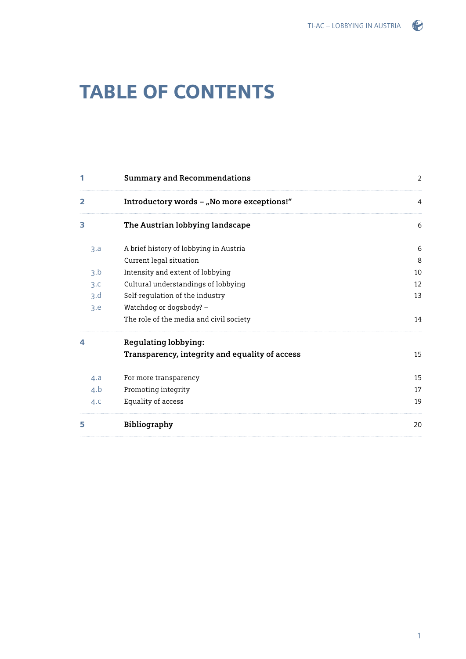### $\odot$

## **TABLE OF CONTENTS**

|     | <b>Summary and Recommendations</b>             | 2  |
|-----|------------------------------------------------|----|
| 2   | Introductory words - "No more exceptions!"     | 4  |
| 3   | The Austrian lobbying landscape                | 6  |
| 3.a | A brief history of lobbying in Austria         | 6  |
|     | Current legal situation                        | 8  |
| 3.b | Intensity and extent of lobbying               | 10 |
| 3.c | Cultural understandings of lobbying            | 12 |
| 3.d | Self-regulation of the industry                | 13 |
| 3.e | Watchdog or dogsbody? -                        |    |
|     | The role of the media and civil society        | 14 |
| 4   | <b>Regulating lobbying:</b>                    |    |
|     | Transparency, integrity and equality of access | 15 |
| 4.a | For more transparency                          | 15 |
| 4.b | Promoting integrity                            | 17 |
| 4.c | Equality of access                             | 19 |
| 5   | Bibliography                                   | 20 |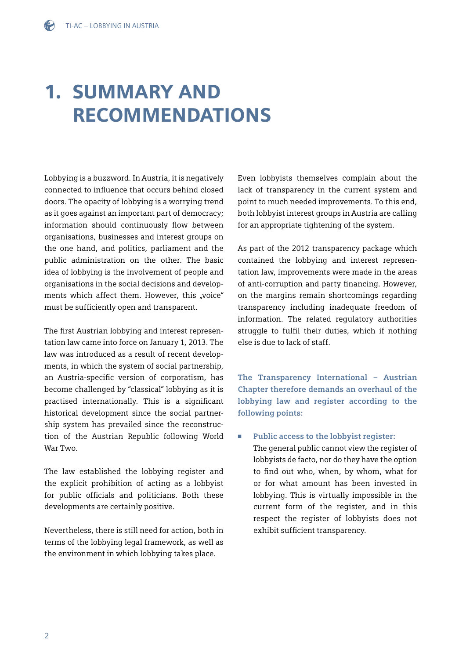# 1. Summary and **RECOMMENDATIONS**

Lobbying is a buzzword. In Austria, it is negatively connected to influence that occurs behind closed doors. The opacity of lobbying is a worrying trend as it goes against an important part of democracy; information should continuously flow between organisations, businesses and interest groups on the one hand, and politics, parliament and the public administration on the other. The basic idea of lobbying is the involvement of people and organisations in the social decisions and developments which affect them. However, this "voice" must be sufficiently open and transparent.

The first Austrian lobbying and interest representation law came into force on January 1, 2013. The law was introduced as a result of recent developments, in which the system of social partnership, an Austria-specific version of corporatism, has become challenged by "classical" lobbying as it is practised internationally. This is a significant historical development since the social partnership system has prevailed since the reconstruction of the Austrian Republic following World War Two.

The law established the lobbying register and the explicit prohibition of acting as a lobbyist for public officials and politicians. Both these developments are certainly positive.

Nevertheless, there is still need for action, both in terms of the lobbying legal framework, as well as the environment in which lobbying takes place.

Even lobbyists themselves complain about the lack of transparency in the current system and point to much needed improvements. To this end, both lobbyist interest groups in Austria are calling for an appropriate tightening of the system.

As part of the 2012 transparency package which contained the lobbying and interest representation law, improvements were made in the areas of anti-corruption and party financing. However, on the margins remain shortcomings regarding transparency including inadequate freedom of information. The related regulatory authorities struggle to fulfil their duties, which if nothing else is due to lack of staff.

**The Transparency International – Austrian Chapter therefore demands an overhaul of the lobbying law and register according to the following points:**

<sup>n</sup> **Public access to the lobbyist register:** The general public cannot view the register of lobbyists de facto, nor do they have the option to find out who, when, by whom, what for or for what amount has been invested in lobbying. This is virtually impossible in the current form of the register, and in this respect the register of lobbyists does not exhibit sufficient transparency.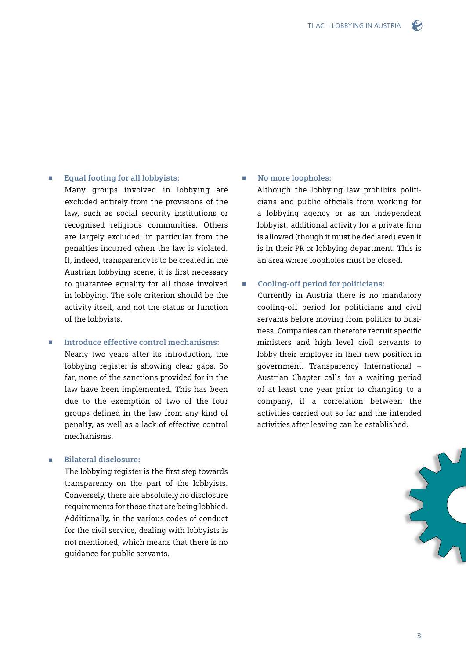

#### Equal footing for all lobbyists:

Many groups involved in lobbying are excluded entirely from the provisions of the law, such as social security institutions or recognised religious communities. Others are largely excluded, in particular from the penalties incurred when the law is violated. If, indeed, transparency is to be created in the Austrian lobbying scene, it is first necessary to guarantee equality for all those involved in lobbying. The sole criterion should be the activity itself, and not the status or function of the lobbyists.

#### ■ **Introduce effective control mechanisms:**

Nearly two years after its introduction, the lobbying register is showing clear gaps. So far, none of the sanctions provided for in the law have been implemented. This has been due to the exemption of two of the four groups defined in the law from any kind of penalty, as well as a lack of effective control mechanisms.

#### <sup>n</sup> **Bilateral disclosure:**

The lobbying register is the first step towards transparency on the part of the lobbyists. Conversely, there are absolutely no disclosure requirements for those that are being lobbied. Additionally, in the various codes of conduct for the civil service, dealing with lobbyists is not mentioned, which means that there is no guidance for public servants.

#### No more loopholes:

Although the lobbying law prohibits politicians and public officials from working for a lobbying agency or as an independent lobbyist, additional activity for a private firm is allowed (though it must be declared) even it is in their PR or lobbying department. This is an area where loopholes must be closed.

#### <sup>n</sup> **Cooling-off period for politicians:**

Currently in Austria there is no mandatory cooling-off period for politicians and civil servants before moving from politics to business. Companies can therefore recruit specific ministers and high level civil servants to lobby their employer in their new position in government. Transparency International – Austrian Chapter calls for a waiting period of at least one year prior to changing to a company, if a correlation between the activities carried out so far and the intended activities after leaving can be established.

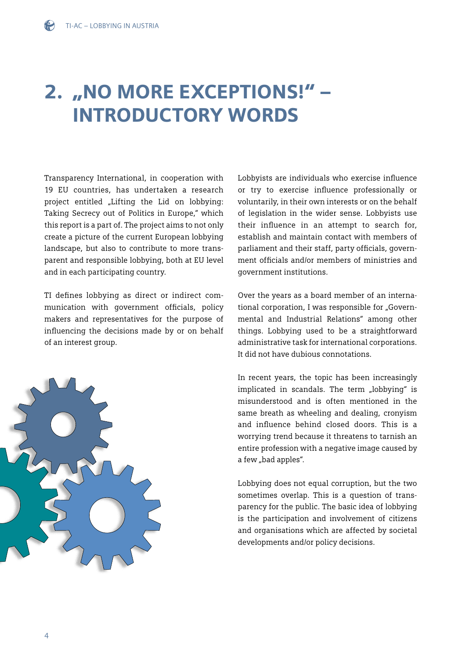## 2. "NO MORE EXCEPTIONS!" – Introductory words

Transparency International, in cooperation with 19 EU countries, has undertaken a research project entitled "Lifting the Lid on lobbying: Taking Secrecy out of Politics in Europe," which this report is a part of. The project aims to not only create a picture of the current European lobbying landscape, but also to contribute to more transparent and responsible lobbying, both at EU level and in each participating country.

TI defines lobbying as direct or indirect communication with government officials, policy makers and representatives for the purpose of influencing the decisions made by or on behalf of an interest group.



Lobbyists are individuals who exercise influence or try to exercise influence professionally or voluntarily, in their own interests or on the behalf of legislation in the wider sense. Lobbyists use their influence in an attempt to search for, establish and maintain contact with members of parliament and their staff, party officials, government officials and/or members of ministries and government institutions.

Over the years as a board member of an international corporation, I was responsible for "Governmental and Industrial Relations" among other things. Lobbying used to be a straightforward administrative task for international corporations. It did not have dubious connotations.

In recent years, the topic has been increasingly implicated in scandals. The term "lobbying" is misunderstood and is often mentioned in the same breath as wheeling and dealing, cronyism and influence behind closed doors. This is a worrying trend because it threatens to tarnish an entire profession with a negative image caused by a few "bad apples".

Lobbying does not equal corruption, but the two sometimes overlap. This is a question of transparency for the public. The basic idea of lobbying is the participation and involvement of citizens and organisations which are affected by societal developments and/or policy decisions.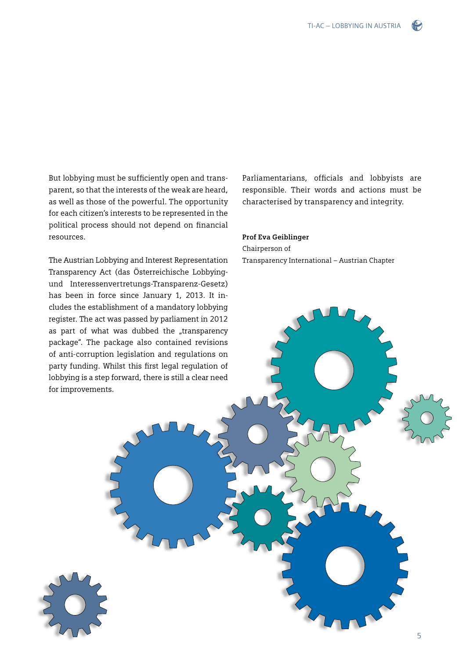

But lobbying must be sufficiently open and transparent, so that the interests of the weak are heard, as well as those of the powerful. The opportunity for each citizen's interests to be represented in the political process should not depend on financial resources.

The Austrian Lobbying and Interest Representation Transparency Act (das Österreichische Lobbyingund Interessenvertretungs-Transparenz-Gesetz) has been in force since January 1, 2013. It includes the establishment of a mandatory lobbying register. The act was passed by parliament in 2012 as part of what was dubbed the "transparency package". The package also contained revisions of anti-corruption legislation and regulations on party funding. Whilst this first legal regulation of lobbying is a step forward, there is still a clear need for improvements.

Parliamentarians, officials and lobbyists are responsible. Their words and actions must be characterised by transparency and integrity.

#### **Prof Eva Geiblinger**

Chairperson of Transparency International – Austrian Chapter

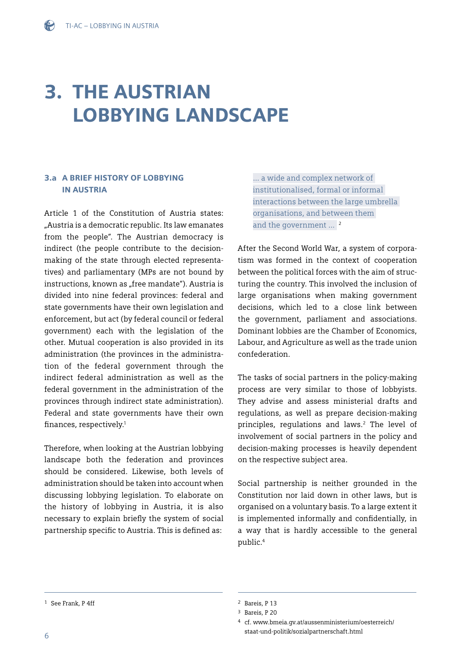## 3. The Austrian LOBBYING LANDSCAPE

#### 3.a A brief history of lobbying in Austria

Article 1 of the Constitution of Austria states: "Austria is a democratic republic. Its law emanates from the people". The Austrian democracy is indirect (the people contribute to the decisionmaking of the state through elected representatives) and parliamentary (MPs are not bound by instructions, known as "free mandate"). Austria is divided into nine federal provinces: federal and state governments have their own legislation and enforcement, but act (by federal council or federal government) each with the legislation of the other. Mutual cooperation is also provided in its administration (the provinces in the administration of the federal government through the indirect federal administration as well as the federal government in the administration of the provinces through indirect state administration). Federal and state governments have their own finances, respectively.1

Therefore, when looking at the Austrian lobbying landscape both the federation and provinces should be considered. Likewise, both levels of administration should be taken into account when discussing lobbying legislation. To elaborate on the history of lobbying in Austria, it is also necessary to explain briefly the system of social partnership specific to Austria. This is defined as:

... a wide and complex network of institutionalised, formal or informal interactions between the large umbrella organisations, and between them and the government ...<sup>2</sup>

After the Second World War, a system of corporatism was formed in the context of cooperation between the political forces with the aim of structuring the country. This involved the inclusion of large organisations when making government decisions, which led to a close link between the government, parliament and associations. Dominant lobbies are the Chamber of Economics, Labour, and Agriculture as well as the trade union confederation.

The tasks of social partners in the policy-making process are very similar to those of lobbyists. They advise and assess ministerial drafts and regulations, as well as prepare decision-making principles, regulations and laws.2 The level of involvement of social partners in the policy and decision-making processes is heavily dependent on the respective subject area.

Social partnership is neither grounded in the Constitution nor laid down in other laws, but is organised on a voluntary basis. To a large extent it is implemented informally and confidentially, in a way that is hardly accessible to the general public.4

<sup>&</sup>lt;sup>1</sup> See Frank, P 4ff <sup>2</sup> Bareis, P 13

<sup>3</sup> Bareis, P 20

<sup>4</sup> cf. [www.bmeia.gv.at/aussenministerium/oesterreich/](www.bmeia.gv.at/aussenministerium/oesterreich/staat-und-politik/sozialpartnerschaft.html) [staat-und-politik/sozialpartnerschaft.html](www.bmeia.gv.at/aussenministerium/oesterreich/staat-und-politik/sozialpartnerschaft.html)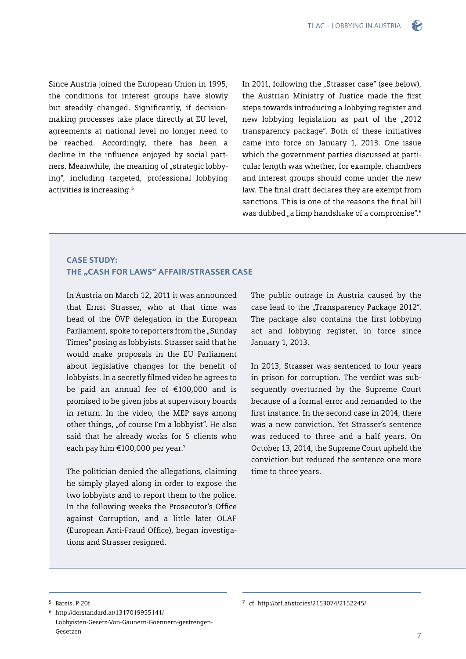$\bullet$ 

Since Austria joined the European Union in 1995, the conditions for interest groups have slowly but steadily changed. Significantly, if decisionmaking processes take place directly at EU level, agreements at national level no longer need to be reached. Accordingly, there has been a decline in the influence enjoyed by social partners. Meanwhile, the meaning of "strategic lobbying", including targeted, professional lobbying activities is increasing.5

In 2011, following the "Strasser case" (see below), the Austrian Ministry of Justice made the first steps towards introducing a lobbying register and new lobbying legislation as part of the "2012 transparency package". Both of these initiatives came into force on January 1, 2013. One issue which the government parties discussed at particular length was whether, for example, chambers and interest groups should come under the new law. The final draft declares they are exempt from sanctions. This is one of the reasons the final bill was dubbed "a limp handshake of a compromise".<sup>6</sup>

#### CASE STUDY: THE "CASH FOR LAWS" AFFAIR/STRASSER CASE

In Austria on March 12, 2011 it was announced that Ernst Strasser, who at that time was head of the ÖVP delegation in the European Parliament, spoke to reporters from the "Sunday Times" posing as lobbyists. Strasser said that he would make proposals in the EU Parliament about legislative changes for the benefit of lobbyists. In a secretly filmed video he agrees to be paid an annual fee of €100,000 and is promised to be given jobs at supervisory boards in return. In the video, the MEP says among other things, "of course I'm a lobbyist". He also said that he already works for 5 clients who each pay him €100,000 per year.7

The politician denied the allegations, claiming he simply played along in order to expose the two lobbyists and to report them to the police. In the following weeks the Prosecutor's Office against Corruption, and a little later OLAF (European Anti-Fraud Office), began investigations and Strasser resigned.

The public outrage in Austria caused by the case lead to the "Transparency Package 2012". The package also contains the first lobbying act and lobbying register, in force since January 1, 2013.

In 2013, Strasser was sentenced to four years in prison for corruption. The verdict was subsequently overturned by the Supreme Court because of a formal error and remanded to the first instance. In the second case in 2014, there was a new conviction. Yet Strasser's sentence was reduced to three and a half years. On October 13, 2014, the Supreme Court upheld the conviction but reduced the sentence one more time to three years.

<sup>5</sup> Bareis, P 20f

<sup>6</sup> [http://derstandard.at/1317019955141/](http://derstandard.at/1317019955141/Lobbyisten-Gesetz-Von-Gaunern-Goennern-gestrengen-Gesetzen) [Lobbyisten-Gesetz-Von-Gaunern-Goennern-gestrengen-](http://derstandard.at/1317019955141/Lobbyisten-Gesetz-Von-Gaunern-Goennern-gestrengen-Gesetzen)[Gesetzen](http://derstandard.at/1317019955141/Lobbyisten-Gesetz-Von-Gaunern-Goennern-gestrengen-Gesetzen)

<sup>7</sup> cf.<http://orf.at/stories/2153074/2152245/>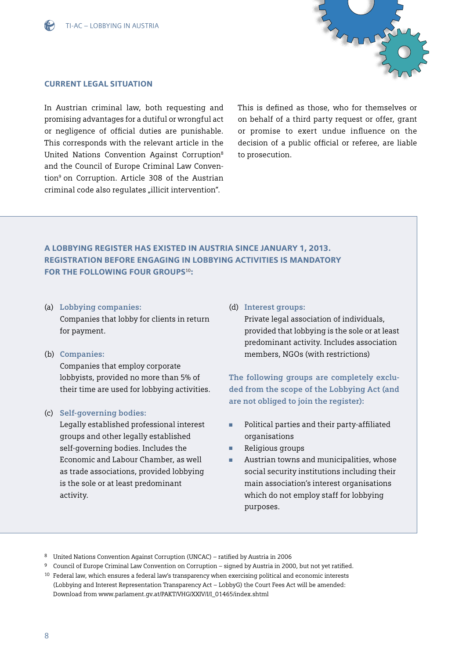



#### Current legal situation

In Austrian criminal law, both requesting and promising advantages for a dutiful or wrongful act or negligence of official duties are punishable. This corresponds with the relevant article in the United Nations Convention Against Corruption8 and the Council of Europe Criminal Law Convention<sup>9</sup> on Corruption. Article 308 of the Austrian criminal code also regulates "illicit intervention".

This is defined as those, who for themselves or on behalf of a third party request or offer, grant or promise to exert undue influence on the decision of a public official or referee, are liable to prosecution.

### A lobbying register has existed in Austria since January 1, 2013. Registration before engaging in lobbying activities is mandatory FOR THE FOLLOWING FOUR GROUPS<sup>10</sup>:

- (a) **Lobbying companies:**  Companies that lobby for clients in return for payment.
- (b) **Companies:**

Companies that employ corporate lobbyists, provided no more than 5% of their time are used for lobbying activities.

#### (c) **Self-governing bodies:**

Legally established professional interest groups and other legally established self-governing bodies. Includes the Economic and Labour Chamber, as well as trade associations, provided lobbying is the sole or at least predominant activity.

#### (d) **Interest groups:**

Private legal association of individuals, provided that lobbying is the sole or at least predominant activity. Includes association members, NGOs (with restrictions)

**The following groups are completely excluded from the scope of the Lobbying Act (and are not obliged to join the register):**

- <sup>n</sup> Political parties and their party-affiliated organisations
- Religious groups
- Austrian towns and municipalities, whose social security institutions including their main association's interest organisations which do not employ staff for lobbying purposes.

<sup>8</sup> United Nations Convention Against Corruption (UNCAC) – ratified by Austria in 2006

<sup>9</sup> Council of Europe Criminal Law Convention on Corruption – signed by Austria in 2000, but not yet ratified.

<sup>10</sup> Federal law, which ensures a federal law's transparency when exercising political and economic interests (Lobbying and Interest Representation Transparency Act – LobbyG) the Court Fees Act will be amended: Download from [www.parlament.gv.at/PAKT/VHG/XXIV/I/I\\_01465/index.shtml](http://www.parlament.gv.at/PAKT/VHG/XXIV/I/I_01465/index.shtml)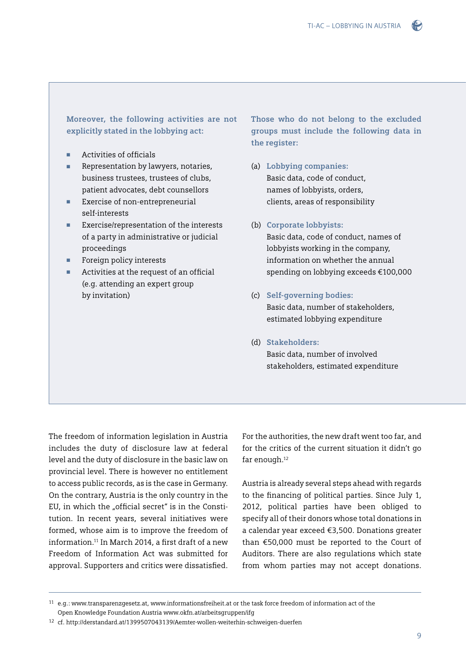#### **Moreover, the following activities are not explicitly stated in the lobbying act:**

- Activities of officials
- **n** Representation by lawyers, notaries, business trustees, trustees of clubs, patient advocates, debt counsellors
- Exercise of non-entrepreneurial self-interests
- Exercise/representation of the interests of a party in administrative or judicial proceedings
- Foreign policy interests
- Activities at the request of an official (e.g. attending an expert group by invitation)

**Those who do not belong to the excluded groups must include the following data in the register:**

- (a) **Lobbying companies:**  Basic data, code of conduct, names of lobbyists, orders, clients, areas of responsibility
- (b) **Corporate lobbyists:**

Basic data, code of conduct, names of lobbyists working in the company, information on whether the annual spending on lobbying exceeds €100,000

- (c) **Self-governing bodies:**  Basic data, number of stakeholders, estimated lobbying expenditure
- (d) **Stakeholders:** Basic data, number of involved

stakeholders, estimated expenditure

The freedom of information legislation in Austria includes the duty of disclosure law at federal level and the duty of disclosure in the basic law on provincial level. There is however no entitlement to access public records, as is the case in Germany. On the contrary, Austria is the only country in the EU, in which the "official secret" is in the Constitution. In recent years, several initiatives were formed, whose aim is to improve the freedom of information.11 In March 2014, a first draft of a new Freedom of Information Act was submitted for approval. Supporters and critics were dissatisfied.

For the authorities, the new draft went too far, and for the critics of the current situation it didn't go far enough.<sup>12</sup>

Austria is already several steps ahead with regards to the financing of political parties. Since July 1, 2012, political parties have been obliged to specify all of their donors whose total donations in a calendar year exceed €3,500. Donations greater than €50,000 must be reported to the Court of Auditors. There are also regulations which state from whom parties may not accept donations.

<sup>11</sup> e.g.: [www.transparenzgesetz.at, www.informationsfreiheit.at o](www.informationsfreiheit.at)r the task force freedom of information act of the Open Knowledge Foundation Austria [www.okfn.at/arbeitsgruppen/ifg](http://www.okfn.at/arbeitsgruppen/ifg)

<sup>12</sup> cf. <http://derstandard.at/1399507043139/Aemter-wollen-weiterhin-schweigen-duerfen>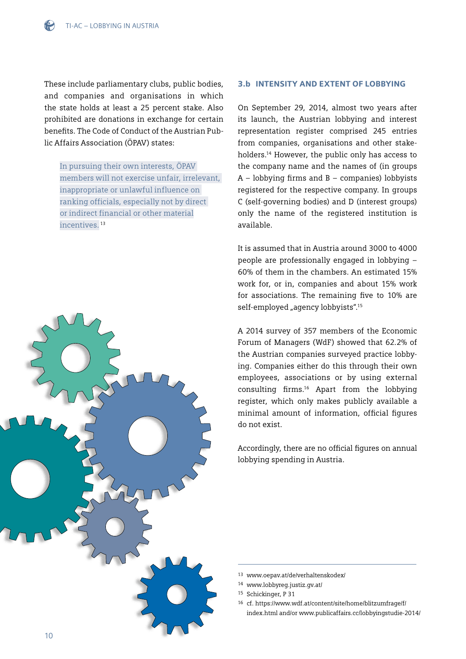These include parliamentary clubs, public bodies, and companies and organisations in which the state holds at least a 25 percent stake. Also prohibited are donations in exchange for certain benefits. The Code of Conduct of the Austrian Public Affairs Association (ÖPAV) states:

In pursuing their own interests, ÖPAV members will not exercise unfair, irrelevant, inappropriate or unlawful influence on ranking officials, especially not by direct or indirect financial or other material incentives. <sup>13</sup>



#### 3.b Intensity and extent of lobbying

On September 29, 2014, almost two years after its launch, the Austrian lobbying and interest representation register comprised 245 entries from companies, organisations and other stakeholders.14 However, the public only has access to the company name and the names of (in groups  $A -$ lobbying firms and  $B -$  companies) lobbyists registered for the respective company. In groups C (self-governing bodies) and D (interest groups) only the name of the registered institution is available.

It is assumed that in Austria around 3000 to 4000 people are professionally engaged in lobbying – 60% of them in the chambers. An estimated 15% work for, or in, companies and about 15% work for associations. The remaining five to 10% are self-employed "agency lobbyists".<sup>15</sup>

A 2014 survey of 357 members of the Economic Forum of Managers (WdF) showed that 62.2% of the Austrian companies surveyed practice lobbying. Companies either do this through their own employees, associations or by using external consulting firms.16 Apart from the lobbying register, which only makes publicly available a minimal amount of information, official figures do not exist.

Accordingly, there are no official figures on annual lobbying spending in Austria.

<sup>13</sup> [www.oepav.at/de/verhaltenskodex/](http://www.oepav.at/de/verhaltenskodex/)

<sup>14</sup> [www.lobbyreg.justiz.gv.at/](http://www.lobbyreg.justiz.gv.at/) 

<sup>15</sup> Schickinger, P 31

<sup>16</sup> cf. [https://www.wdf.at/content/site/home/blitzumfrage/f/](https://www.wdf.at/content/site/home/blitzumfrage/f/index.html bzw. www.publicaffairs.cc/lobbyingstudie-2014/) [index.html and/or www.publicaffairs.cc/lobbyingstudie-2014/](https://www.wdf.at/content/site/home/blitzumfrage/f/index.html bzw. www.publicaffairs.cc/lobbyingstudie-2014/)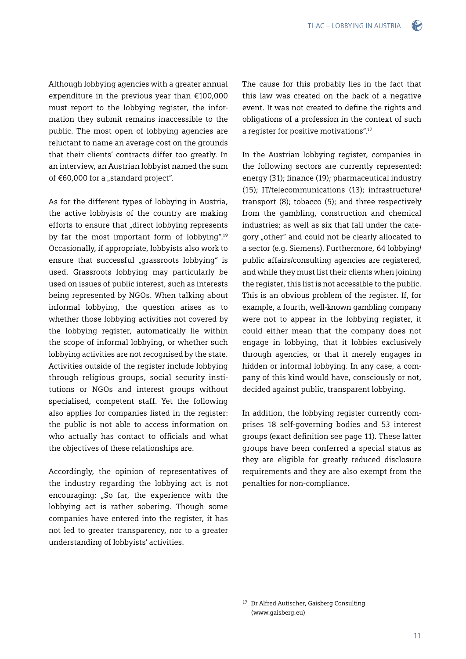$\left($ 

Although lobbying agencies with a greater annual expenditure in the previous year than €100,000 must report to the lobbying register, the information they submit remains inaccessible to the public. The most open of lobbying agencies are reluctant to name an average cost on the grounds that their clients' contracts differ too greatly. In an interview, an Austrian lobbyist named the sum of  $€60,000$  for a "standard project".

As for the different types of lobbying in Austria, the active lobbyists of the country are making efforts to ensure that "direct lobbying represents by far the most important form of lobbying".19 Occasionally, if appropriate, lobbyists also work to ensure that successful "grassroots lobbying" is used. Grassroots lobbying may particularly be used on issues of public interest, such as interests being represented by NGOs. When talking about informal lobbying, the question arises as to whether those lobbying activities not covered by the lobbying register, automatically lie within the scope of informal lobbying, or whether such lobbying activities are not recognised by the state. Activities outside of the register include lobbying through religious groups, social security institutions or NGOs and interest groups without specialised, competent staff. Yet the following also applies for companies listed in the register: the public is not able to access information on who actually has contact to officials and what the objectives of these relationships are.

Accordingly, the opinion of representatives of the industry regarding the lobbying act is not encouraging: "So far, the experience with the lobbying act is rather sobering. Though some companies have entered into the register, it has not led to greater transparency, nor to a greater understanding of lobbyists' activities.

The cause for this probably lies in the fact that this law was created on the back of a negative event. It was not created to define the rights and obligations of a profession in the context of such a register for positive motivations".17

In the Austrian lobbying register, companies in the following sectors are currently represented: energy (31); finance (19); pharmaceutical industry (15); IT/telecommunications (13); infrastructure/ transport (8); tobacco (5); and three respectively from the gambling, construction and chemical industries; as well as six that fall under the category "other" and could not be clearly allocated to a sector (e.g. Siemens). Furthermore, 64 lobbying/ public affairs/consulting agencies are registered, and while they must list their clients when joining the register, this list is not accessible to the public. This is an obvious problem of the register. If, for example, a fourth, well-known gambling company were not to appear in the lobbying register, it could either mean that the company does not engage in lobbying, that it lobbies exclusively through agencies, or that it merely engages in hidden or informal lobbying. In any case, a company of this kind would have, consciously or not, decided against public, transparent lobbying.

In addition, the lobbying register currently comprises 18 self-governing bodies and 53 interest groups (exact definition see page 11). These latter groups have been conferred a special status as they are eligible for greatly reduced disclosure requirements and they are also exempt from the penalties for non-compliance.

<sup>17</sup> Dr Alfred Autischer, Gaisberg Consulting ([www.gaisberg.eu](http://www.gaisberg.eu))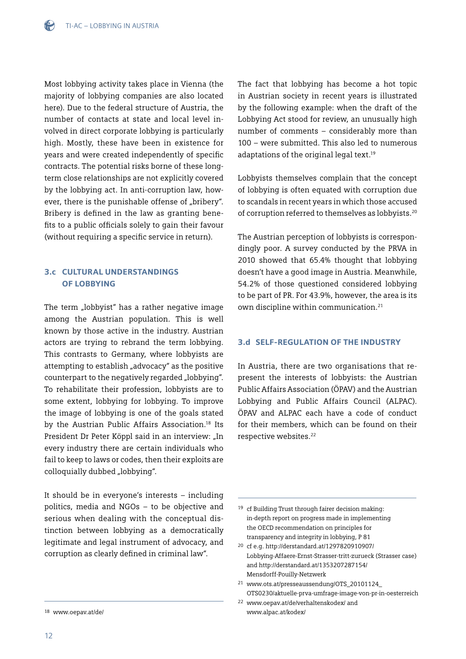Most lobbying activity takes place in Vienna (the majority of lobbying companies are also located here). Due to the federal structure of Austria, the number of contacts at state and local level involved in direct corporate lobbying is particularly high. Mostly, these have been in existence for years and were created independently of specific contracts. The potential risks borne of these longterm close relationships are not explicitly covered by the lobbying act. In anti-corruption law, however, there is the punishable offense of "bribery". Bribery is defined in the law as granting benefits to a public officials solely to gain their favour (without requiring a specific service in return).

#### 3.c Cultural understandings **OF LOBBYING**

The term "lobbyist" has a rather negative image among the Austrian population. This is well known by those active in the industry. Austrian actors are trying to rebrand the term lobbying. This contrasts to Germany, where lobbyists are attempting to establish "advocacy" as the positive counterpart to the negatively regarded "lobbying". To rehabilitate their profession, lobbyists are to some extent, lobbying for lobbying. To improve the image of lobbying is one of the goals stated by the Austrian Public Affairs Association.18 Its President Dr Peter Köppl said in an interview: "In every industry there are certain individuals who fail to keep to laws or codes, then their exploits are colloquially dubbed "lobbying".

It should be in everyone's interests – including politics, media and NGOs – to be objective and serious when dealing with the conceptual distinction between lobbying as a democratically legitimate and legal instrument of advocacy, and corruption as clearly defined in criminal law".

The fact that lobbying has become a hot topic in Austrian society in recent years is illustrated by the following example: when the draft of the Lobbying Act stood for review, an unusually high number of comments – considerably more than 100 – were submitted. This also led to numerous adaptations of the original legal text.<sup>19</sup>

Lobbyists themselves complain that the concept of lobbying is often equated with corruption due to scandals in recent years in which those accused of corruption referred to themselves as lobbyists.20

The Austrian perception of lobbyists is correspondingly poor. A survey conducted by the PRVA in 2010 showed that 65.4% thought that lobbying doesn't have a good image in Austria. Meanwhile, 54.2% of those questioned considered lobbying to be part of PR. For 43.9%, however, the area is its own discipline within communication.21

#### 3.d Self-regulation of the industry

In Austria, there are two organisations that represent the interests of lobbyists: the Austrian Public Affairs Association (ÖPAV) and the Austrian Lobbying and Public Affairs Council (ALPAC). ÖPAV and ALPAC each have a code of conduct for their members, which can be found on their respective websites.22

<sup>18</sup> [www.oepav.at/de/](http://www.oepav.at/de/)

<sup>19</sup> cf Building Trust through fairer decision making: in-depth report on progress made in implementing the OECD recommendation on principles for transparency and integrity in lobbying, P 81

<sup>20</sup> cf e.g. [http://derstandard.at/1297820910907/](http://derstandard.at/1297820910907/	Lobbying-Affaere-Ernst-Strasser-tritt-zurueck) [Lobbying-Affaere-Ernst-Strasser-tritt-zurueck](http://derstandard.at/1297820910907/	Lobbying-Affaere-Ernst-Strasser-tritt-zurueck) (Strasser case) and <http://derstandard.at/1353207287154/> Mensdorff-Pouilly-Netzwerk

<sup>21</sup> [www.ots.at/presseaussendung/OTS\\_20101124\\_](http://www.ots.at/presseaussendung/OTS_20101124_OTS0230/aktuelle-prva-umfrage-image-von-pr-in-oesterreich) [OTS0230/aktuelle-prva-umfrage-image-von-pr-in-oesterreich](http://www.ots.at/presseaussendung/OTS_20101124_OTS0230/aktuelle-prva-umfrage-image-von-pr-in-oesterreich)

<sup>22</sup> [www.oepav.at/de/verhaltenskodex/](http://www.oepav.at/de/verhaltenskodex/) and [www.alpac.at/kodex/](http://www.alpac.at/kodex/)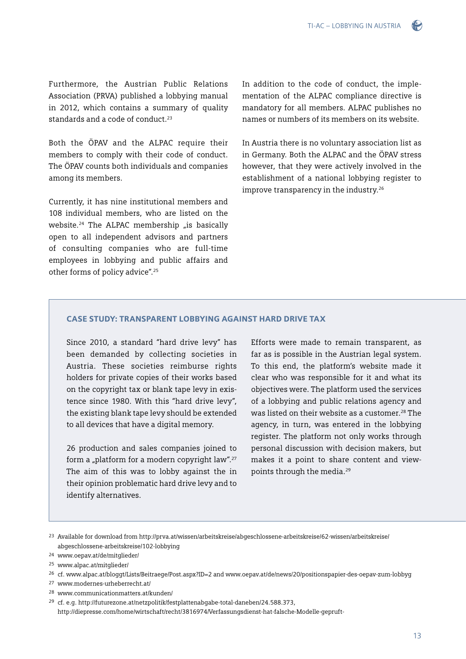Furthermore, the Austrian Public Relations Association (PRVA) published a lobbying manual in 2012, which contains a summary of quality standards and a code of conduct  $23$ 

Both the ÖPAV and the ALPAC require their members to comply with their code of conduct. The ÖPAV counts both individuals and companies among its members.

Currently, it has nine institutional members and 108 individual members, who are listed on the website.<sup>24</sup> The ALPAC membership  $\mu$  is basically open to all independent advisors and partners of consulting companies who are full-time employees in lobbying and public affairs and other forms of policy advice".25

In addition to the code of conduct, the implementation of the ALPAC compliance directive is mandatory for all members. ALPAC publishes no names or numbers of its members on its website.

In Austria there is no voluntary association list as in Germany. Both the ALPAC and the ÖPAV stress however, that they were actively involved in the establishment of a national lobbying register to improve transparency in the industry.<sup>26</sup>

#### CASE STUDY: Transparent lobbying against hard drive tax

Since 2010, a standard "hard drive levy" has been demanded by collecting societies in Austria. These societies reimburse rights holders for private copies of their works based on the copyright tax or blank tape levy in existence since 1980. With this "hard drive levy", the existing blank tape levy should be extended to all devices that have a digital memory.

26 production and sales companies joined to form a "platform for a modern copyright law".<sup>27</sup> The aim of this was to lobby against the in their opinion problematic hard drive levy and to identify alternatives.

Efforts were made to remain transparent, as far as is possible in the Austrian legal system. To this end, the platform's website made it clear who was responsible for it and what its objectives were. The platform used the services of a lobbying and public relations agency and was listed on their website as a customer.<sup>28</sup> The agency, in turn, was entered in the lobbying register. The platform not only works through personal discussion with decision makers, but makes it a point to share content and viewpoints through the media.29

- 27 [www.modernes-urheberrecht.at/](http://www.modernes-urheberrecht.at/)
- 28 [www.communicationmatters.at/kunden/](http://www.communicationmatters.at/kunden/)
- 29 cf. e.g.<http://futurezone.at/netzpolitik/festplattenabgabe-total-daneben/24.588.373>,

<http://diepresse.com/home/wirtschaft/recht/3816974/Verfassungsdienst-hat-falsche-Modelle-gepruft->

<sup>23</sup> Available for download from [http://prva.at/wissen/arbeitskreise/abgeschlossene-arbeitskreise/62-wissen/arbeitskreise/](http://prva.at/wissen/arbeitskreise/abgeschlossene-arbeitskreise/62-wissen/arbeitskreise/abgeschlossene-arbeitskreise/102-lobbying) [abgeschlossene-arbeitskreise/102-lobbying](http://prva.at/wissen/arbeitskreise/abgeschlossene-arbeitskreise/62-wissen/arbeitskreise/abgeschlossene-arbeitskreise/102-lobbying)

<sup>24</sup> [www.oepav.at/de/mitglieder/](http://www.oepav.at/de/mitglieder/)

<sup>25</sup> [www.alpac.at/mitglieder/](http://www.alpac.at/mitglieder/) 

<sup>26</sup> cf. [www.alpac.at/bloggt/Lists/Beitraege/Post.aspx?ID=2](http://www.alpac.at/bloggt/Lists/Beitraege/Post.aspx?ID=2) and [www.oepav.at/de/news/20/positionspapier-des-oepav-zum-lobbyg](http://www.oepav.at/de/news/20/positionspapier-des-oepav-zum-lobbyg)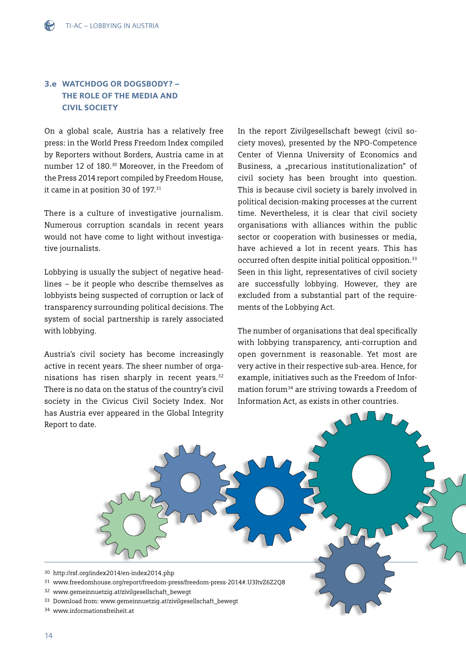### 3.e Watchdog or dogsbody? – The role of the media AND civil society

On a global scale, Austria has a relatively free press: in the World Press Freedom Index compiled by Reporters without Borders, Austria came in at number 12 of 180.30 Moreover, in the Freedom of the Press 2014 report compiled by Freedom House, it came in at position 30 of 197.<sup>31</sup>

There is a culture of investigative journalism. Numerous corruption scandals in recent years would not have come to light without investigative journalists.

Lobbying is usually the subject of negative headlines – be it people who describe themselves as lobbyists being suspected of corruption or lack of transparency surrounding political decisions. The system of social partnership is rarely associated with lobbying.

Austria's civil society has become increasingly active in recent years. The sheer number of organisations has risen sharply in recent years.<sup>32</sup> There is no data on the status of the country's civil society in the Civicus Civil Society Index. Nor has Austria ever appeared in the Global Integrity Report to date.

In the report Zivilgesellschaft bewegt (civil society moves), presented by the NPO-Competence Center of Vienna University of Economics and Business, a "precarious institutionalization" of civil society has been brought into question. This is because civil society is barely involved in political decision-making processes at the current time. Nevertheless, it is clear that civil society organisations with alliances within the public sector or cooperation with businesses or media, have achieved a lot in recent years. This has occurred often despite initial political opposition.<sup>33</sup> Seen in this light, representatives of civil society are successfully lobbying. However, they are excluded from a substantial part of the requirements of the Lobbying Act.

The number of organisations that deal specifically with lobbying transparency, anti-corruption and open government is reasonable. Yet most are very active in their respective sub-area. Hence, for example, initiatives such as the Freedom of Information forum34 are striving towards a Freedom of Information Act, as exists in other countries.

30 <http://rsf.org/index2014/en-index2014.php>

- 31 [www.freedomhouse.org/report/freedom-press/freedom-press-2014#.U3ItvZ6Z2Q8](http://www.freedomhouse.org/report/freedom-press/freedom-press-2014#.U3ItvZ6Z2Q8)
- 32 [www.gemeinnuetzig.at/zivilgesellschaft\\_bewegt](http://www.gemeinnuetzig.at/zivilgesellschaft_bewegt)
- 33 Download from: [www.gemeinnuetzig.at/zivilgesellschaft\\_bewegt](http://www.gemeinnuetzig.at/zivilgesellschaft_bewegt)
- 34 [www.](http://www.informationsfreiheit.at)informationsfreiheit.at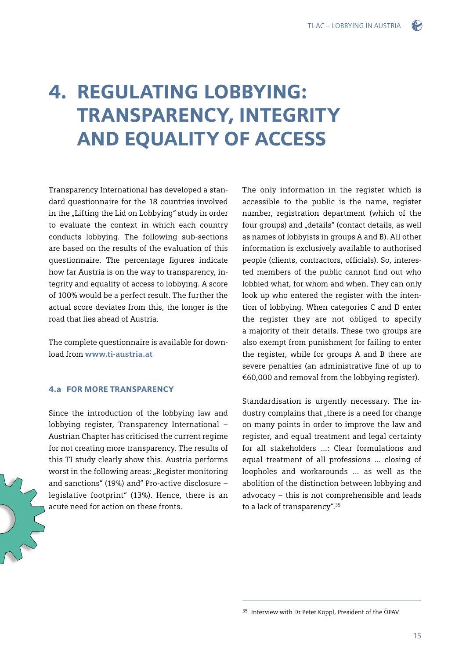## 4. Regulating lobbying: Transparency, integrity and equality of access

Transparency International has developed a standard questionnaire for the 18 countries involved in the "Lifting the Lid on Lobbying" study in order to evaluate the context in which each country conducts lobbying. The following sub-sections are based on the results of the evaluation of this questionnaire. The percentage figures indicate how far Austria is on the way to transparency, integrity and equality of access to lobbying. A score of 100% would be a perfect result. The further the actual score deviates from this, the longer is the road that lies ahead of Austria.

The complete questionnaire is available for download from **[www.ti-austria.at](http://www.ti-austria.at)** 

#### 4.a For more transparency

Since the introduction of the lobbying law and lobbying register, Transparency International – Austrian Chapter has criticised the current regime for not creating more transparency. The results of this TI study clearly show this. Austria performs worst in the following areas: "Register monitoring and sanctions" (19%) and" Pro-active disclosure – legislative footprint" (13%). Hence, there is an acute need for action on these fronts.

The only information in the register which is accessible to the public is the name, register number, registration department (which of the four groups) and "details" (contact details, as well as names of lobbyists in groups A and B). All other information is exclusively available to authorised people (clients, contractors, officials). So, interested members of the public cannot find out who lobbied what, for whom and when. They can only look up who entered the register with the intention of lobbying. When categories C and D enter the register they are not obliged to specify a majority of their details. These two groups are also exempt from punishment for failing to enter the register, while for groups A and B there are severe penalties (an administrative fine of up to €60,000 and removal from the lobbying register).

Standardisation is urgently necessary. The industry complains that "there is a need for change on many points in order to improve the law and register, and equal treatment and legal certainty for all stakeholders ...: Clear formulations and equal treatment of all professions ... closing of loopholes and workarounds ... as well as the abolition of the distinction between lobbying and advocacy – this is not comprehensible and leads to a lack of transparency".<sup>35</sup>

<sup>35</sup> Interview with Dr Peter Köppl, President of the ÖPAV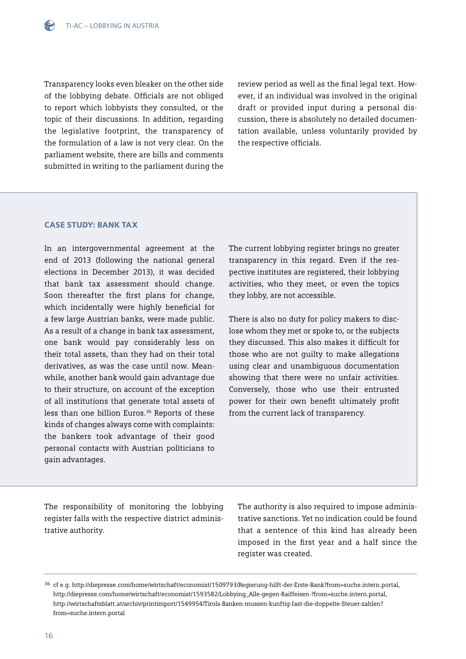

Transparency looks even bleaker on the other side of the lobbying debate. Officials are not obliged to report which lobbyists they consulted, or the topic of their discussions. In addition, regarding the legislative footprint, the transparency of the formulation of a law is not very clear. On the parliament website, there are bills and comments submitted in writing to the parliament during the

review period as well as the final legal text. However, if an individual was involved in the original draft or provided input during a personal discussion, there is absolutely no detailed documentation available, unless voluntarily provided by the respective officials.

#### CASE STUDY: Bank tax

In an intergovernmental agreement at the end of 2013 (following the national general elections in December 2013), it was decided that bank tax assessment should change. Soon thereafter the first plans for change, which incidentally were highly beneficial for a few large Austrian banks, were made public. As a result of a change in bank tax assessment, one bank would pay considerably less on their total assets, than they had on their total derivatives, as was the case until now. Meanwhile, another bank would gain advantage due to their structure, on account of the exception of all institutions that generate total assets of less than one billion Euros.<sup>36</sup> Reports of these kinds of changes always come with complaints: the bankers took advantage of their good personal contacts with Austrian politicians to gain advantages.

The current lobbying register brings no greater transparency in this regard. Even if the respective institutes are registered, their lobbying activities, who they meet, or even the topics they lobby, are not accessible.

There is also no duty for policy makers to disclose whom they met or spoke to, or the subjects they discussed. This also makes it difficult for those who are not guilty to make allegations using clear and unambiguous documentation showing that there were no unfair activities. Conversely, those who use their entrusted power for their own benefit ultimately profit from the current lack of transparency.

The responsibility of monitoring the lobbying register falls with the respective district administrative authority.

The authority is also required to impose administrative sanctions. Yet no indication could be found that a sentence of this kind has already been imposed in the first year and a half since the register was created.

<sup>36</sup> cf e.g.<http://diepresse.com/home/wirtschaft/economist/1509793/Regierung-hilft-der-Erste-Bank?from=suche.intern.portal>, [http://diepresse.com/home/wirtschaft/economist/1593582/Lobbying\\_Alle-gegen-Raiffeisen-?from=suche.intern.portal,](http://diepresse.com/home/wirtschaft/economist/1593582/Lobbying_Alle-gegen-Raiffeisen-?from=suche.intern.portal) [http://wirtschaftsblatt.at/archiv/printimport/1549954/Tirols-Banken-mussen-kunftig-fast-die-doppelte-Steuer-zahlen?](http://wirtschaftsblatt.at/archiv/printimport/1549954/Tirols-Banken-mussen-kunftig-fast-die-doppelte-Steuer-zahlen?from=suche.intern.portal) [from=suche.intern.portal](http://wirtschaftsblatt.at/archiv/printimport/1549954/Tirols-Banken-mussen-kunftig-fast-die-doppelte-Steuer-zahlen?from=suche.intern.portal)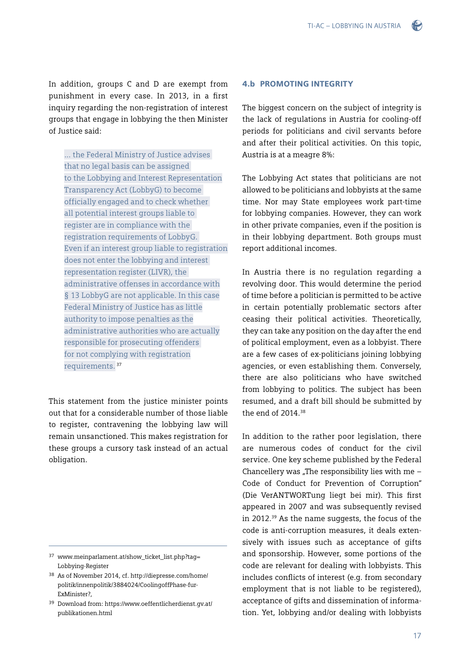TI-AC – Lobbying in Austria

In addition, groups C and D are exempt from punishment in every case. In 2013, in a first inquiry regarding the non-registration of interest groups that engage in lobbying the then Minister of Justice said:

... the Federal Ministry of Justice advises that no legal basis can be assigned to the Lobbying and Interest Representation Transparency Act (LobbyG) to become officially engaged and to check whether all potential interest groups liable to register are in compliance with the registration requirements of LobbyG. Even if an interest group liable to registration does not enter the lobbying and interest representation register (LIVR), the administrative offenses in accordance with § 13 LobbyG are not applicable. In this case Federal Ministry of Justice has as little authority to impose penalties as the administrative authorities who are actually responsible for prosecuting offenders for not complying with registration requirements.<sup>37</sup>

This statement from the justice minister points out that for a considerable number of those liable to register, contravening the lobbying law will remain unsanctioned. This makes registration for these groups a cursory task instead of an actual obligation.

#### 4.b Promoting integrity

The biggest concern on the subject of integrity is the lack of regulations in Austria for cooling-off periods for politicians and civil servants before and after their political activities. On this topic, Austria is at a meagre 8%:

The Lobbying Act states that politicians are not allowed to be politicians and lobbyists at the same time. Nor may State employees work part-time for lobbying companies. However, they can work in other private companies, even if the position is in their lobbying department. Both groups must report additional incomes.

In Austria there is no regulation regarding a revolving door. This would determine the period of time before a politician is permitted to be active in certain potentially problematic sectors after ceasing their political activities. Theoretically, they can take any position on the day after the end of political employment, even as a lobbyist. There are a few cases of ex-politicians joining lobbying agencies, or even establishing them. Conversely, there are also politicians who have switched from lobbying to politics. The subject has been resumed, and a draft bill should be submitted by the end of 2014.<sup>38</sup>

In addition to the rather poor legislation, there are numerous codes of conduct for the civil service. One key scheme published by the Federal Chancellery was "The responsibility lies with me  $-$ Code of Conduct for Prevention of Corruption" (Die VerANTWORTung liegt bei mir). This first appeared in 2007 and was subsequently revised in 2012.<sup>39</sup> As the name suggests, the focus of the code is anti-corruption measures, it deals extensively with issues such as acceptance of gifts and sponsorship. However, some portions of the code are relevant for dealing with lobbyists. This includes conflicts of interest (e.g. from secondary employment that is not liable to be registered). acceptance of gifts and dissemination of information. Yet, lobbying and/or dealing with lobbyists

<sup>37</sup> [www.meinparlament.at/show\\_ticket\\_list.php?tag=](http://www.meinparlament.at/show_ticket_list.php?tag=Lobbying-Register) [Lobbying-Register](http://www.meinparlament.at/show_ticket_list.php?tag=Lobbying-Register)

<sup>38</sup> As of November 2014, cf. [http://diepresse.com/home/](http://diepresse.com/home/politik/innenpolitik/3884024/CoolingoffPhase-fur-ExMinister?,) [politik/innenpolitik/3884024/CoolingoffPhase-fur-](http://diepresse.com/home/politik/innenpolitik/3884024/CoolingoffPhase-fur-ExMinister?,)[ExMinister?,](http://diepresse.com/home/politik/innenpolitik/3884024/CoolingoffPhase-fur-ExMinister?,)

<sup>39</sup> Download from: [https://www.oeffentlicherdienst.gv.at/](https://www.oeffentlicherdienst.gv.at/publikationen.htm) [publikationen.html](https://www.oeffentlicherdienst.gv.at/publikationen.htm)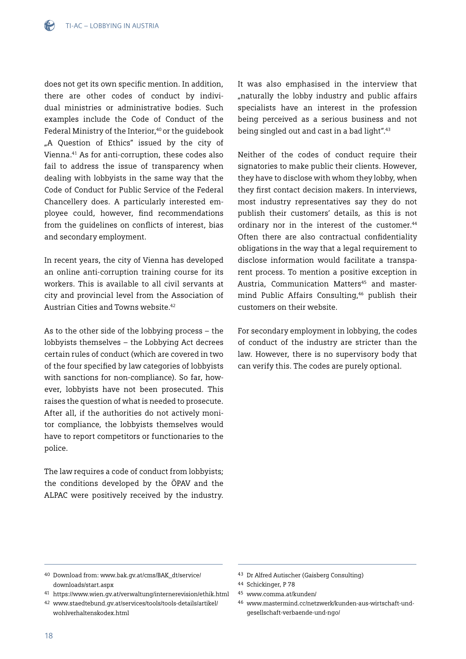does not get its own specific mention. In addition, there are other codes of conduct by individual ministries or administrative bodies. Such examples include the Code of Conduct of the Federal Ministry of the Interior,<sup>40</sup> or the quidebook "A Question of Ethics" issued by the city of Vienna.41 As for anti-corruption, these codes also fail to address the issue of transparency when dealing with lobbyists in the same way that the Code of Conduct for Public Service of the Federal Chancellery does. A particularly interested employee could, however, find recommendations from the guidelines on conflicts of interest, bias and secondary employment.

In recent years, the city of Vienna has developed an online anti-corruption training course for its workers. This is available to all civil servants at city and provincial level from the Association of Austrian Cities and Towns website.42

As to the other side of the lobbying process – the lobbyists themselves – the Lobbying Act decrees certain rules of conduct (which are covered in two of the four specified by law categories of lobbyists with sanctions for non-compliance). So far, however, lobbyists have not been prosecuted. This raises the question of what is needed to prosecute. After all, if the authorities do not actively monitor compliance, the lobbyists themselves would have to report competitors or functionaries to the police.

The law requires a code of conduct from lobbyists; the conditions developed by the ÖPAV and the ALPAC were positively received by the industry.

It was also emphasised in the interview that "naturally the lobby industry and public affairs specialists have an interest in the profession being perceived as a serious business and not being singled out and cast in a bad light".43

Neither of the codes of conduct require their signatories to make public their clients. However, they have to disclose with whom they lobby, when they first contact decision makers. In interviews, most industry representatives say they do not publish their customers' details, as this is not ordinary nor in the interest of the customer.<sup>44</sup> Often there are also contractual confidentiality obligations in the way that a legal requirement to disclose information would facilitate a transparent process. To mention a positive exception in Austria, Communication Matters<sup>45</sup> and mastermind Public Affairs Consulting,46 publish their customers on their website.

For secondary employment in lobbying, the codes of conduct of the industry are stricter than the law. However, there is no supervisory body that can verify this. The codes are purely optional.

<sup>40</sup> Download from: [www.bak.gv.at/cms/BAK\\_dt/service/](http://www.bak.gv.at/cms/BAK_dt/service/downloads/start.aspx) [downloads/start.aspx](http://www.bak.gv.at/cms/BAK_dt/service/downloads/start.aspx)

<sup>41</sup> <https://www.wien.gv.at/verwaltung/internerevision/ethik.html>

<sup>42</sup> [www.staedtebund.gv.at/services/tools/tools-details/artikel/](http://www.staedtebund.gv.at/services/tools/tools-details/artikel/wohlverhaltenskodex.html) [wohlverhaltenskodex.html](http://www.staedtebund.gv.at/services/tools/tools-details/artikel/wohlverhaltenskodex.html)

<sup>43</sup> Dr Alfred Autischer (Gaisberg Consulting)

<sup>44</sup> Schickinger, P 78

<sup>45</sup> [www.comma.at/kunden/](http://www.comma.at/kunden/)

<sup>46</sup> [www.mastermind.cc/netzwerk/kunden-aus-wirtschaft-und](http://www.mastermind.cc/netzwerk/kunden-aus-wirtschaft-und-gesellschaft-verbaende-und-ngo/)[gesellschaft-verbaende-und-ngo/](http://www.mastermind.cc/netzwerk/kunden-aus-wirtschaft-und-gesellschaft-verbaende-und-ngo/)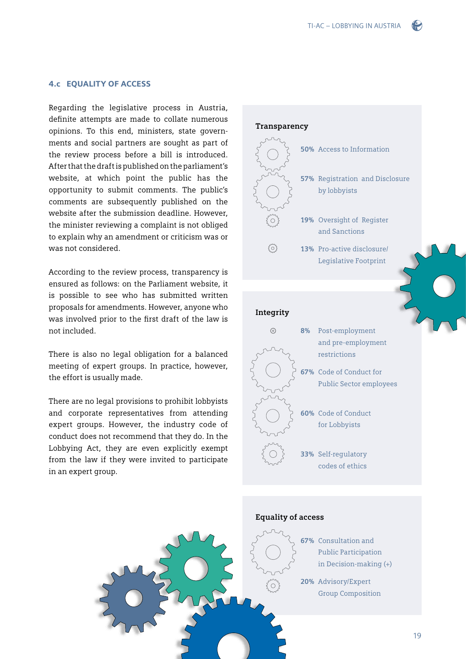#### 4.c Equality of access

Regarding the legislative process in Austria, definite attempts are made to collate numerous opinions. To this end, ministers, state governments and social partners are sought as part of the review process before a bill is introduced. After that the draft is published on the parliament's website, at which point the public has the opportunity to submit comments. The public's comments are subsequently published on the website after the submission deadline. However, the minister reviewing a complaint is not obliged to explain why an amendment or criticism was or was not considered.

According to the review process, transparency is ensured as follows: on the Parliament website, it is possible to see who has submitted written proposals for amendments. However, anyone who was involved prior to the first draft of the law is not included.

There is also no legal obligation for a balanced meeting of expert groups. In practice, however, the effort is usually made.

There are no legal provisions to prohibit lobbyists and corporate representatives from attending expert groups. However, the industry code of conduct does not recommend that they do. In the Lobbying Act, they are even explicitly exempt from the law if they were invited to participate in an expert group.



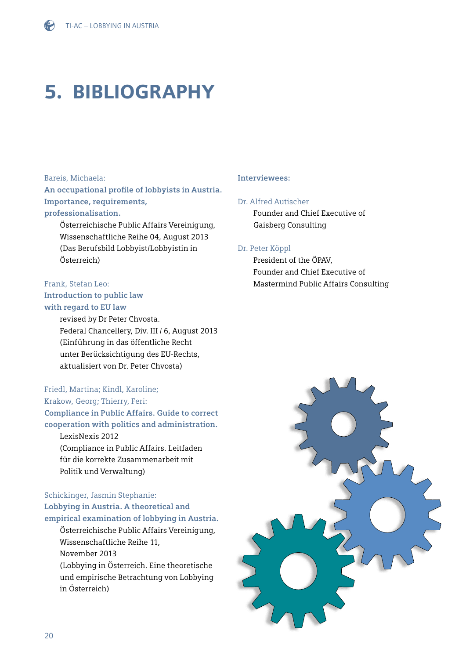# 5. Bibliography

#### Bareis, Michaela:

**An occupational profile of lobbyists in Austria. Importance, requirements, professionalisation.** 

Österreichische Public Affairs Vereinigung, Wissenschaftliche Reihe 04, August 2013 (Das Berufsbild Lobbyist/Lobbyistin in Österreich)

#### Frank, Stefan Leo: **Introduction to public law**

#### **with regard to EU law**

revised by Dr Peter Chvosta. Federal Chancellery, Div. III / 6, August 2013 (Einführung in das öffentliche Recht unter Berücksichtigung des EU-Rechts, aktualisiert von Dr. Peter Chvosta)

### Friedl, Martina; Kindl, Karoline;

Krakow, Georg; Thierry, Feri:

**Compliance in Public Affairs. Guide to correct** 

**cooperation with politics and administration.**  LexisNexis 2012 (Compliance in Public Affairs. Leitfaden für die korrekte Zusammenarbeit mit Politik und Verwaltung)

### Schickinger, Jasmin Stephanie: **Lobbying in Austria. A theoretical and empirical examination of lobbying in Austria.**

Österreichische Public Affairs Vereinigung, Wissenschaftliche Reihe 11, November 2013 (Lobbying in Österreich. Eine theoretische und empirische Betrachtung von Lobbying in Österreich)

#### **Interviewees:**

#### Dr. Alfred Autischer

Founder and Chief Executive of Gaisberg Consulting

#### Dr. Peter Köppl

President of the ÖPAV, Founder and Chief Executive of Mastermind Public Affairs Consulting

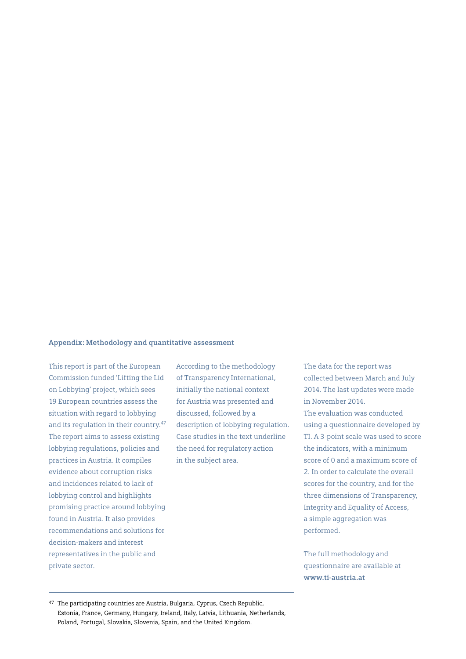#### **Appendix: Methodology and quantitative assessment**

This report is part of the European Commission funded 'Lifting the Lid on Lobbying' project, which sees 19 European countries assess the situation with regard to lobbying and its regulation in their country.<sup>47</sup> The report aims to assess existing lobbying regulations, policies and practices in Austria. It compiles evidence about corruption risks and incidences related to lack of lobbying control and highlights promising practice around lobbying found in Austria. It also provides recommendations and solutions for decision-makers and interest representatives in the public and private sector.

According to the methodology of Transparency International, initially the national context for Austria was presented and discussed, followed by a description of lobbying regulation. Case studies in the text underline the need for regulatory action in the subject area.

The data for the report was collected between March and July 2014. The last updates were made in November 2014. The evaluation was conducted using a questionnaire developed by TI. A 3-point scale was used to score the indicators, with a minimum score of 0 and a maximum score of 2. In order to calculate the overall scores for the country, and for the three dimensions of Transparency, Integrity and Equality of Access, a simple aggregation was performed.

The full methodology and questionnaire are available at **[www.ti-austria.at](http://www.ti-austria.at)**

<sup>47</sup> The participating countries are Austria, Bulgaria, Cyprus, Czech Republic, Estonia, France, Germany, Hungary, Ireland, Italy, Latvia, Lithuania, Netherlands, Poland, Portugal, Slovakia, Slovenia, Spain, and the United Kingdom.